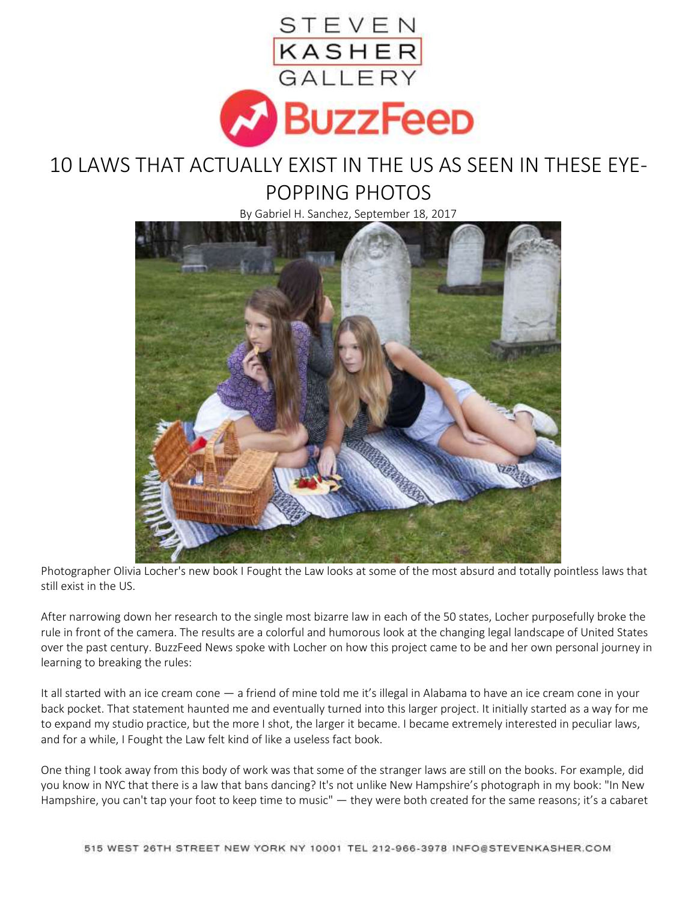

## 10 LAWS THAT ACTUALLY EXIST IN THE US AS SEEN IN THESE EYE-POPPING PHOTOS

By Gabriel H. Sanchez, September 18, 2017



Photographer Olivia Locher's new book I Fought the Law looks at some of the most absurd and totally pointless laws that still exist in the US.

After narrowing down her research to the single most bizarre law in each of the 50 states, Locher purposefully broke the rule in front of the camera. The results are a colorful and humorous look at the changing legal landscape of United States over the past century. BuzzFeed News spoke with Locher on how this project came to be and her own personal journey in learning to breaking the rules:

It all started with an ice cream cone — a friend of mine told me it's illegal in Alabama to have an ice cream cone in your back pocket. That statement haunted me and eventually turned into this larger project. It initially started as a way for me to expand my studio practice, but the more I shot, the larger it became. I became extremely interested in peculiar laws, and for a while, I Fought the Law felt kind of like a useless fact book.

One thing I took away from this body of work was that some of the stranger laws are still on the books. For example, did you know in NYC that there is a law that bans dancing? It's not unlike New Hampshire's photograph in my book: "In New Hampshire, you can't tap your foot to keep time to music" — they were both created for the same reasons; it's a cabaret